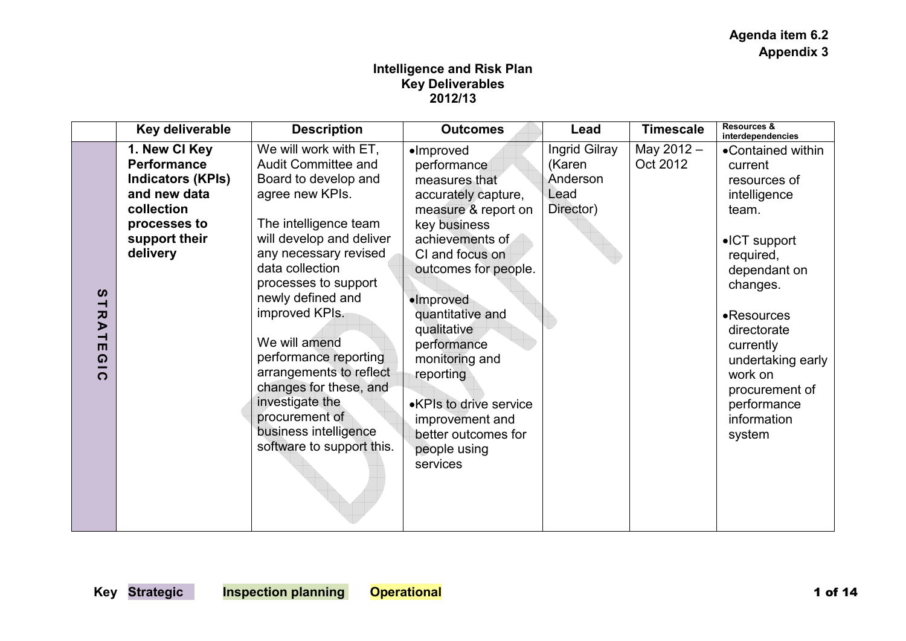## **Intelligence and Risk Plan Key Deliverables 2012/13**

|                                                                                                           | Key deliverable                                                                                                                            | <b>Description</b>                                                                                                                                                                                                                                                                                                                                                                                                                                       | <b>Outcomes</b>                                                                                                                                                                                                                                                                                                                                                              | Lead                                                     | <b>Timescale</b>       | Resources &<br>interdependencies                                                                                                                                                                                                                                            |
|-----------------------------------------------------------------------------------------------------------|--------------------------------------------------------------------------------------------------------------------------------------------|----------------------------------------------------------------------------------------------------------------------------------------------------------------------------------------------------------------------------------------------------------------------------------------------------------------------------------------------------------------------------------------------------------------------------------------------------------|------------------------------------------------------------------------------------------------------------------------------------------------------------------------------------------------------------------------------------------------------------------------------------------------------------------------------------------------------------------------------|----------------------------------------------------------|------------------------|-----------------------------------------------------------------------------------------------------------------------------------------------------------------------------------------------------------------------------------------------------------------------------|
| $\boldsymbol{\omega}$<br>⊣<br>$\overline{\mathbf{v}}$<br>১<br>⊣<br>$\blacksquare$<br>$\Omega$<br>$\Omega$ | 1. New CI Key<br><b>Performance</b><br><b>Indicators (KPIs)</b><br>and new data<br>collection<br>processes to<br>support their<br>delivery | We will work with ET,<br><b>Audit Committee and</b><br>Board to develop and<br>agree new KPIs.<br>The intelligence team<br>will develop and deliver<br>any necessary revised<br>data collection<br>processes to support<br>newly defined and<br>improved KPIs.<br>We will amend<br>performance reporting<br>arrangements to reflect<br>changes for these, and<br>investigate the<br>procurement of<br>business intelligence<br>software to support this. | $\bullet$ Improved<br>performance<br>measures that<br>accurately capture,<br>measure & report on<br>key business<br>achievements of<br>CI and focus on<br>outcomes for people.<br>·Improved<br>quantitative and<br>qualitative<br>performance<br>monitoring and<br>reporting<br>•KPIs to drive service<br>improvement and<br>better outcomes for<br>people using<br>services | Ingrid Gilray<br>(Karen<br>Anderson<br>Lead<br>Director) | May 2012 -<br>Oct 2012 | •Contained within<br>current<br>resources of<br>intelligence<br>team.<br>$\bullet$ ICT support<br>required,<br>dependant on<br>changes.<br>•Resources<br>directorate<br>currently<br>undertaking early<br>work on<br>procurement of<br>performance<br>information<br>system |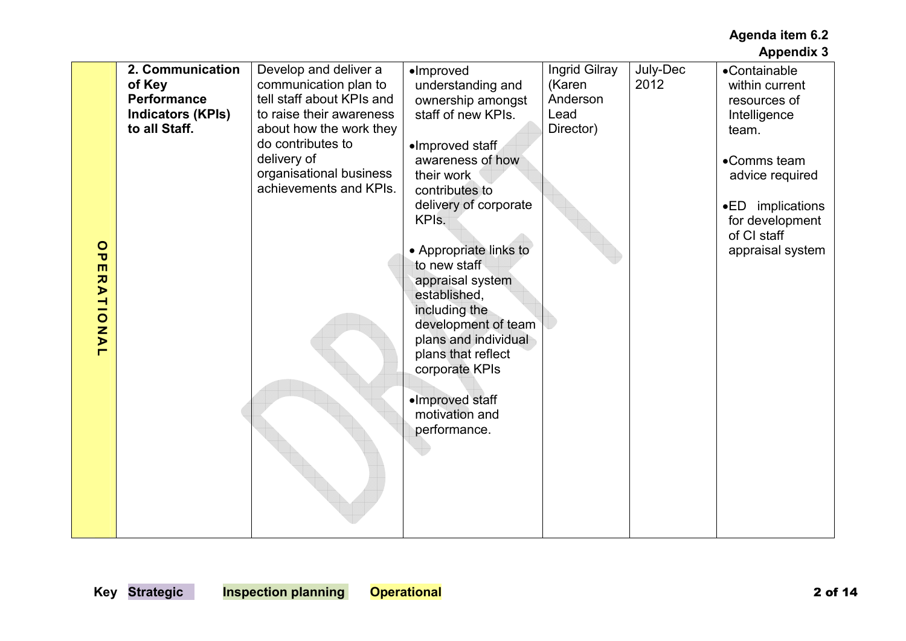|                            | 2. Communication         | Develop and deliver a     | ·Improved              | Ingrid Gilray | July-Dec | •Containable     |
|----------------------------|--------------------------|---------------------------|------------------------|---------------|----------|------------------|
|                            | of Key                   | communication plan to     | understanding and      | (Karen        | 2012     | within current   |
|                            | <b>Performance</b>       | tell staff about KPIs and | ownership amongst      | Anderson      |          | resources of     |
|                            | <b>Indicators (KPIs)</b> | to raise their awareness  | staff of new KPIs.     | Lead          |          | Intelligence     |
|                            | to all Staff.            | about how the work they   |                        | Director)     |          | team.            |
|                            |                          | do contributes to         |                        |               |          |                  |
|                            |                          |                           | •Improved staff        |               |          |                  |
|                            |                          | delivery of               | awareness of how       |               |          | •Comms team      |
|                            |                          | organisational business   | their work             |               |          | advice required  |
|                            |                          | achievements and KPIs.    | contributes to         |               |          |                  |
|                            |                          |                           | delivery of corporate  |               |          | •ED implications |
|                            |                          |                           | KPI <sub>s.</sub>      |               |          | for development  |
|                            |                          |                           |                        |               |          | of CI staff      |
| $\circ$                    |                          |                           | • Appropriate links to |               |          | appraisal system |
| ᠊ᠣ                         |                          |                           | to new staff           |               |          |                  |
| ш                          |                          |                           |                        |               |          |                  |
| ス<br>$\blacktriangleright$ |                          |                           | appraisal system       |               |          |                  |
|                            |                          |                           | established,           |               |          |                  |
|                            |                          |                           | including the          |               |          |                  |
| TION                       |                          |                           | development of team    |               |          |                  |
| $\blacktriangleright$      |                          |                           | plans and individual   |               |          |                  |
| ┍                          |                          |                           | plans that reflect     |               |          |                  |
|                            |                          |                           | corporate KPIs         |               |          |                  |
|                            |                          |                           |                        |               |          |                  |
|                            |                          |                           | ·Improved staff        |               |          |                  |
|                            |                          |                           | motivation and         |               |          |                  |
|                            |                          |                           |                        |               |          |                  |
|                            |                          |                           | performance.           |               |          |                  |
|                            |                          |                           |                        |               |          |                  |
|                            |                          |                           |                        |               |          |                  |
|                            |                          |                           |                        |               |          |                  |
|                            |                          |                           |                        |               |          |                  |
|                            |                          |                           |                        |               |          |                  |
|                            |                          |                           |                        |               |          |                  |
|                            |                          |                           |                        |               |          |                  |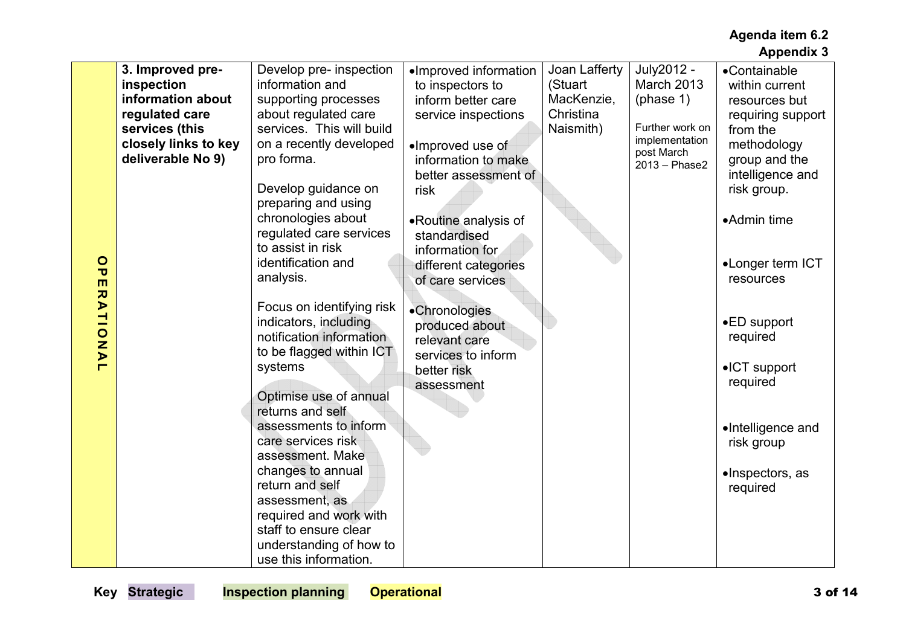|                         | 3. Improved pre-     | Develop pre- inspection   | •Improved information | Joan Lafferty | July2012 -                   | •Containable          |
|-------------------------|----------------------|---------------------------|-----------------------|---------------|------------------------------|-----------------------|
|                         | inspection           | information and           | to inspectors to      | (Stuart       | March 2013                   | within current        |
|                         | information about    | supporting processes      | inform better care    | MacKenzie,    | (phase 1)                    | resources but         |
|                         | regulated care       | about regulated care      |                       | Christina     |                              |                       |
|                         |                      |                           | service inspections   |               | Further work on              | requiring support     |
|                         | services (this       | services. This will build |                       | Naismith)     |                              | from the              |
|                         | closely links to key | on a recently developed   | •Improved use of      |               | implementation<br>post March | methodology           |
|                         | deliverable No 9)    | pro forma.                | information to make   |               | 2013 - Phase2                | group and the         |
|                         |                      |                           | better assessment of  |               |                              | intelligence and      |
|                         |                      | Develop guidance on       | risk                  |               |                              | risk group.           |
|                         |                      | preparing and using       |                       |               |                              |                       |
|                         |                      |                           |                       |               |                              |                       |
|                         |                      | chronologies about        | •Routine analysis of  |               |                              | •Admin time           |
|                         |                      | regulated care services   | standardised          |               |                              |                       |
|                         |                      | to assist in risk         | information for       |               |                              |                       |
| $\circ$                 |                      | identification and        | different categories  |               |                              | •Longer term ICT      |
| $\overline{\mathbf{U}}$ |                      | analysis.                 | of care services      |               |                              | resources             |
| m                       |                      |                           |                       |               |                              |                       |
| <b>RATIONA</b>          |                      | Focus on identifying risk |                       |               |                              |                       |
|                         |                      | indicators, including     | •Chronologies         |               |                              | $\bullet$ ED support  |
|                         |                      |                           | produced about        |               |                              |                       |
|                         |                      | notification information  | relevant care         |               |                              | required              |
|                         |                      | to be flagged within ICT  | services to inform    |               |                              |                       |
| $\blacksquare$          |                      | systems                   | better risk           |               |                              | $\bullet$ ICT support |
|                         |                      |                           | assessment            |               |                              | required              |
|                         |                      | Optimise use of annual    |                       |               |                              |                       |
|                         |                      | returns and self          |                       |               |                              |                       |
|                         |                      | assessments to inform     |                       |               |                              | •Intelligence and     |
|                         |                      | care services risk        |                       |               |                              |                       |
|                         |                      |                           |                       |               |                              | risk group            |
|                         |                      | assessment. Make          |                       |               |                              |                       |
|                         |                      | changes to annual         |                       |               |                              | •Inspectors, as       |
|                         |                      | return and self           |                       |               |                              | required              |
|                         |                      | assessment, as            |                       |               |                              |                       |
|                         |                      | required and work with    |                       |               |                              |                       |
|                         |                      | staff to ensure clear     |                       |               |                              |                       |
|                         |                      | understanding of how to   |                       |               |                              |                       |
|                         |                      | use this information.     |                       |               |                              |                       |
|                         |                      |                           |                       |               |                              |                       |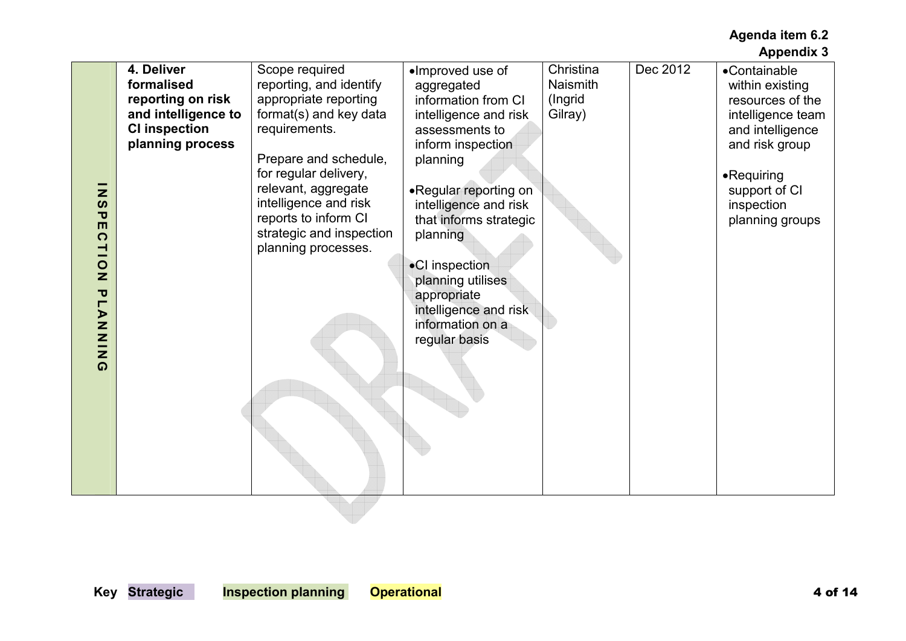| 4. Deliver<br>Christina<br>Dec 2012<br>Scope required<br>•Improved use of<br>•Containable<br>formalised<br>reporting, and identify<br>Naismith<br>aggregated<br>within existing<br>reporting on risk<br>appropriate reporting<br>information from CI<br>(Ingrid<br>resources of the<br>and intelligence to<br>format(s) and key data<br>Gilray)<br>intelligence and risk<br>intelligence team<br><b>CI inspection</b><br>requirements.<br>assessments to<br>and intelligence<br>planning process<br>and risk group<br>inform inspection<br>Prepare and schedule,<br>planning<br>for regular delivery,<br>•Requiring<br>relevant, aggregate<br>•Regular reporting on<br>support of CI<br>Z<br>intelligence and risk<br>intelligence and risk<br>$\boldsymbol{\omega}$<br>inspection<br>$\overline{\mathbf{U}}$<br>reports to inform CI<br>that informs strategic<br>planning groups<br>$\blacksquare$<br>strategic and inspection<br>planning<br>$\Omega$<br>planning processes.<br>TION<br>•CI inspection<br>planning utilises<br><b>PLANING</b><br>appropriate<br>intelligence and risk<br>information on a<br>regular basis |
|-------------------------------------------------------------------------------------------------------------------------------------------------------------------------------------------------------------------------------------------------------------------------------------------------------------------------------------------------------------------------------------------------------------------------------------------------------------------------------------------------------------------------------------------------------------------------------------------------------------------------------------------------------------------------------------------------------------------------------------------------------------------------------------------------------------------------------------------------------------------------------------------------------------------------------------------------------------------------------------------------------------------------------------------------------------------------------------------------------------------------------|
|-------------------------------------------------------------------------------------------------------------------------------------------------------------------------------------------------------------------------------------------------------------------------------------------------------------------------------------------------------------------------------------------------------------------------------------------------------------------------------------------------------------------------------------------------------------------------------------------------------------------------------------------------------------------------------------------------------------------------------------------------------------------------------------------------------------------------------------------------------------------------------------------------------------------------------------------------------------------------------------------------------------------------------------------------------------------------------------------------------------------------------|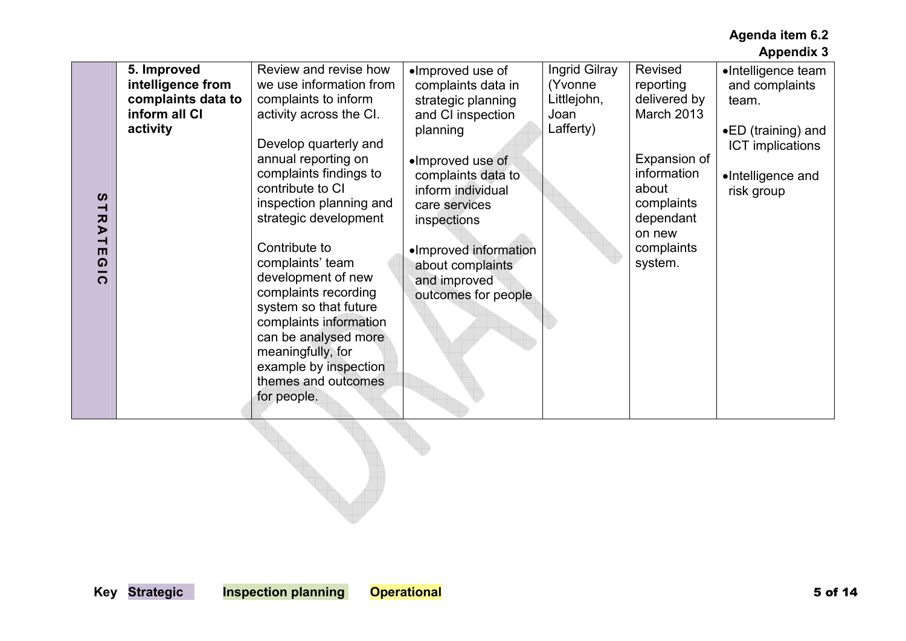|                                                                                                                               |                                                                                     |                                                                                                                                                                                                                                                                                                                                                                                                                                                                                                         |                                                                                                                                                                                                                                                                                  |                                                              |                                                                                                                                                                 | <b>Appendix 3</b>                                                                                                                 |
|-------------------------------------------------------------------------------------------------------------------------------|-------------------------------------------------------------------------------------|---------------------------------------------------------------------------------------------------------------------------------------------------------------------------------------------------------------------------------------------------------------------------------------------------------------------------------------------------------------------------------------------------------------------------------------------------------------------------------------------------------|----------------------------------------------------------------------------------------------------------------------------------------------------------------------------------------------------------------------------------------------------------------------------------|--------------------------------------------------------------|-----------------------------------------------------------------------------------------------------------------------------------------------------------------|-----------------------------------------------------------------------------------------------------------------------------------|
| $\boldsymbol{\omega}$<br>$\overline{\phantom{0}}$<br>スマ<br>$\overline{\phantom{0}}$<br>$\blacksquare$<br>$\Omega$<br>$\Omega$ | 5. Improved<br>intelligence from<br>complaints data to<br>inform all CI<br>activity | Review and revise how<br>we use information from<br>complaints to inform<br>activity across the CI.<br>Develop quarterly and<br>annual reporting on<br>complaints findings to<br>contribute to CI<br>inspection planning and<br>strategic development<br>Contribute to<br>complaints' team<br>development of new<br>complaints recording<br>system so that future<br>complaints information<br>can be analysed more<br>meaningfully, for<br>example by inspection<br>themes and outcomes<br>for people. | ·Improved use of<br>complaints data in<br>strategic planning<br>and CI inspection<br>planning<br>•Improved use of<br>complaints data to<br>inform individual<br>care services<br>inspections<br>•Improved information<br>about complaints<br>and improved<br>outcomes for people | Ingrid Gilray<br>(Yvonne<br>Littlejohn,<br>Joan<br>Lafferty) | Revised<br>reporting<br>delivered by<br><b>March 2013</b><br>Expansion of<br>information<br>about<br>complaints<br>dependant<br>on new<br>complaints<br>system. | •Intelligence team<br>and complaints<br>team.<br>•ED (training) and<br><b>ICT</b> implications<br>•Intelligence and<br>risk group |
|                                                                                                                               |                                                                                     |                                                                                                                                                                                                                                                                                                                                                                                                                                                                                                         |                                                                                                                                                                                                                                                                                  |                                                              |                                                                                                                                                                 |                                                                                                                                   |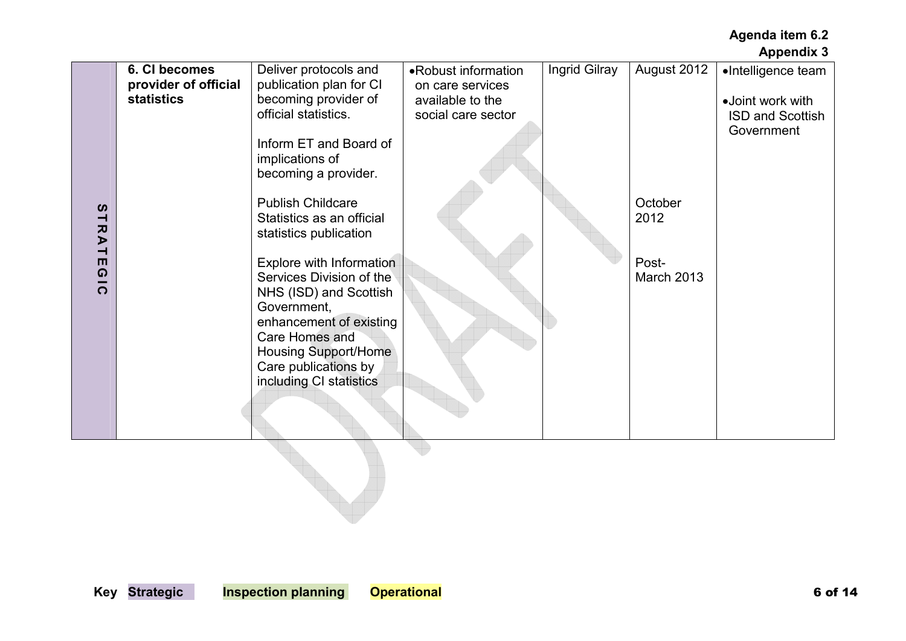|                                                                                                                                                                                   |                                                            |                                                                                                                                                                                                                                                                                                                 |                                                                                   |               |                                        | <b>Appendix 3</b>                                                               |
|-----------------------------------------------------------------------------------------------------------------------------------------------------------------------------------|------------------------------------------------------------|-----------------------------------------------------------------------------------------------------------------------------------------------------------------------------------------------------------------------------------------------------------------------------------------------------------------|-----------------------------------------------------------------------------------|---------------|----------------------------------------|---------------------------------------------------------------------------------|
|                                                                                                                                                                                   | 6. CI becomes<br>provider of official<br><b>statistics</b> | Deliver protocols and<br>publication plan for CI<br>becoming provider of<br>official statistics.<br>Inform ET and Board of<br>implications of<br>becoming a provider.                                                                                                                                           | •Robust information<br>on care services<br>available to the<br>social care sector | Ingrid Gilray | August 2012                            | •Intelligence team<br>•Joint work with<br><b>ISD and Scottish</b><br>Government |
| $\boldsymbol{\omega}$<br>$\overline{\phantom{0}}$<br>$\overline{\mathbf{z}}$<br>$\blacktriangleright$<br>$\overline{\phantom{0}}$<br>$\blacksquare$<br>$\overline{6}$<br>$\Omega$ |                                                            | <b>Publish Childcare</b><br>Statistics as an official<br>statistics publication<br>Explore with Information<br>Services Division of the<br>NHS (ISD) and Scottish<br>Government,<br>enhancement of existing<br>Care Homes and<br><b>Housing Support/Home</b><br>Care publications by<br>including CI statistics |                                                                                   |               | October<br>2012<br>Post-<br>March 2013 |                                                                                 |
|                                                                                                                                                                                   |                                                            |                                                                                                                                                                                                                                                                                                                 |                                                                                   |               |                                        |                                                                                 |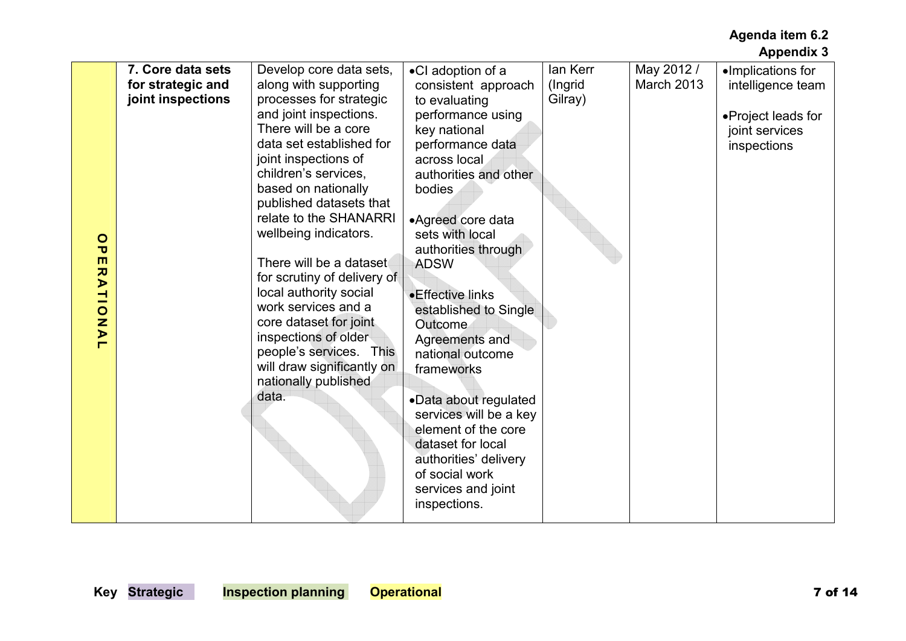|                                           | 7. Core data sets | Develop core data sets,     | •CI adoption of a      | lan Kerr | May 2012 / | •Implications for  |
|-------------------------------------------|-------------------|-----------------------------|------------------------|----------|------------|--------------------|
|                                           | for strategic and | along with supporting       | consistent approach    | (Ingrid  | March 2013 | intelligence team  |
|                                           | joint inspections | processes for strategic     | to evaluating          | Gilray)  |            |                    |
|                                           |                   | and joint inspections.      | performance using      |          |            |                    |
|                                           |                   | There will be a core        |                        |          |            | •Project leads for |
|                                           |                   |                             | key national           |          |            | joint services     |
|                                           |                   | data set established for    | performance data       |          |            | inspections        |
|                                           |                   | joint inspections of        | across local           |          |            |                    |
|                                           |                   | children's services,        | authorities and other  |          |            |                    |
|                                           |                   | based on nationally         | bodies                 |          |            |                    |
|                                           |                   | published datasets that     |                        |          |            |                    |
|                                           |                   | relate to the SHANARRI      | •Agreed core data      |          |            |                    |
|                                           |                   | wellbeing indicators.       | sets with local        |          |            |                    |
| $\circ$                                   |                   |                             |                        |          |            |                    |
| $\overline{\mathbf{U}}$<br>$\blacksquare$ |                   |                             | authorities through    |          |            |                    |
|                                           |                   | There will be a dataset     | <b>ADSW</b>            |          |            |                    |
|                                           |                   | for scrutiny of delivery of |                        |          |            |                    |
| <b>RATIO</b>                              |                   | local authority social      | • Effective links      |          |            |                    |
|                                           |                   | work services and a         | established to Single  |          |            |                    |
| IAAL                                      |                   | core dataset for joint      | Outcome                |          |            |                    |
|                                           |                   | inspections of older        | Agreements and         |          |            |                    |
|                                           |                   | people's services. This     | national outcome       |          |            |                    |
|                                           |                   | will draw significantly on  |                        |          |            |                    |
|                                           |                   |                             | frameworks             |          |            |                    |
|                                           |                   | nationally published        |                        |          |            |                    |
|                                           |                   | data.                       | •Data about regulated  |          |            |                    |
|                                           |                   |                             | services will be a key |          |            |                    |
|                                           |                   |                             | element of the core    |          |            |                    |
|                                           |                   |                             | dataset for local      |          |            |                    |
|                                           |                   |                             | authorities' delivery  |          |            |                    |
|                                           |                   |                             | of social work         |          |            |                    |
|                                           |                   |                             | services and joint     |          |            |                    |
|                                           |                   |                             |                        |          |            |                    |
|                                           |                   |                             | inspections.           |          |            |                    |
|                                           |                   |                             |                        |          |            |                    |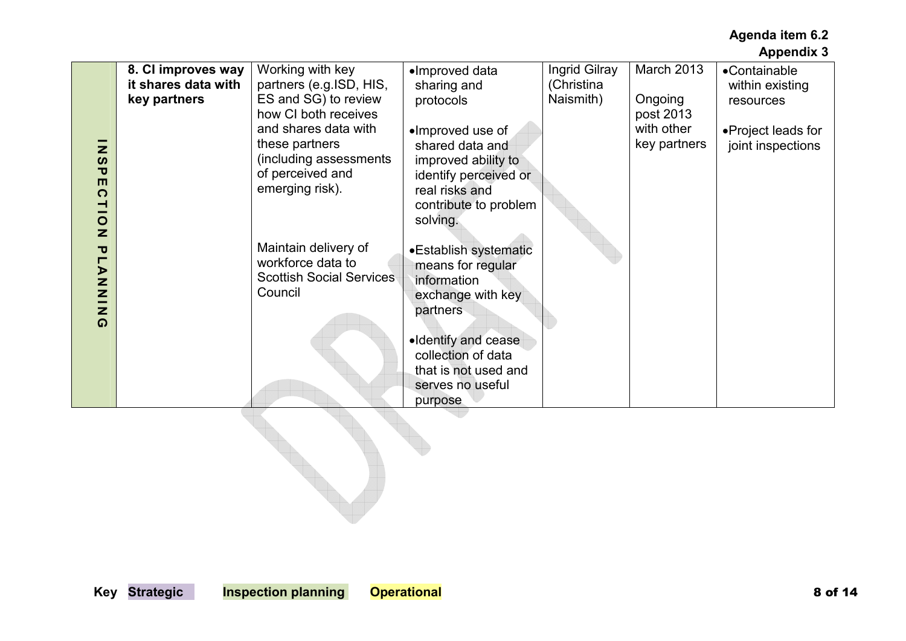|                                                                                                                      |                                           |                                                                                                                                 |                                                                                                                                            |                             |                                         | '                                       |
|----------------------------------------------------------------------------------------------------------------------|-------------------------------------------|---------------------------------------------------------------------------------------------------------------------------------|--------------------------------------------------------------------------------------------------------------------------------------------|-----------------------------|-----------------------------------------|-----------------------------------------|
|                                                                                                                      | 8. CI improves way<br>it shares data with | Working with key<br>partners (e.g.ISD, HIS,                                                                                     | •Improved data<br>sharing and                                                                                                              | Ingrid Gilray<br>(Christina | March 2013                              | •Containable<br>within existing         |
|                                                                                                                      | key partners                              | ES and SG) to review                                                                                                            | protocols                                                                                                                                  | Naismith)                   | Ongoing                                 | resources                               |
| $\mathbf{z}$<br>$\boldsymbol{\omega}$<br>$\overline{\mathbf{U}}$<br>$\blacksquare$<br>$\Omega$<br>ᅴ<br>$\frac{0}{2}$ |                                           | how CI both receives<br>and shares data with<br>these partners<br>(including assessments<br>of perceived and<br>emerging risk). | •Improved use of<br>shared data and<br>improved ability to<br>identify perceived or<br>real risks and<br>contribute to problem<br>solving. |                             | post 2013<br>with other<br>key partners | •Project leads for<br>joint inspections |
| $\overline{\mathbf{U}}$<br>$\blacksquare$<br>$\triangleright$<br>NNIN<br>$\Omega$                                    |                                           | Maintain delivery of<br>workforce data to<br><b>Scottish Social Services</b><br>Council                                         | •Establish systematic<br>means for regular<br>information<br>exchange with key<br>partners                                                 |                             |                                         |                                         |
|                                                                                                                      |                                           |                                                                                                                                 | •Identify and cease<br>collection of data<br>that is not used and<br>serves no useful<br>purpose                                           |                             |                                         |                                         |
|                                                                                                                      |                                           |                                                                                                                                 |                                                                                                                                            |                             |                                         |                                         |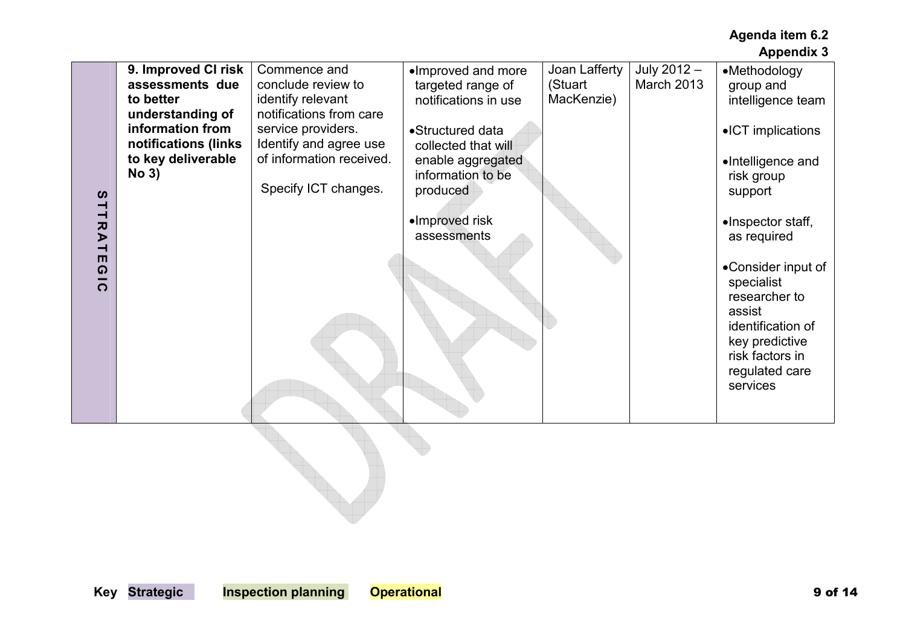|                                                                                                                                                                      |                                                                                                                                                              |                                                                                                                                                                                        |                                                                                                                                                                                                   |                                        |                           | лрроник о                                                                                                                                                                                                  |
|----------------------------------------------------------------------------------------------------------------------------------------------------------------------|--------------------------------------------------------------------------------------------------------------------------------------------------------------|----------------------------------------------------------------------------------------------------------------------------------------------------------------------------------------|---------------------------------------------------------------------------------------------------------------------------------------------------------------------------------------------------|----------------------------------------|---------------------------|------------------------------------------------------------------------------------------------------------------------------------------------------------------------------------------------------------|
| $\boldsymbol{\omega}$<br>ᅴ<br>$\overline{\phantom{0}}$<br>$\pmb{\pi}$<br>$\blacktriangleright$<br>$\overline{\phantom{0}}$<br>$\blacksquare$<br>$\Omega$<br>$\Omega$ | 9. Improved CI risk<br>assessments due<br>to better<br>understanding of<br>information from<br>notifications (links<br>to key deliverable<br>No <sub>3</sub> | Commence and<br>conclude review to<br>identify relevant<br>notifications from care<br>service providers.<br>Identify and agree use<br>of information received.<br>Specify ICT changes. | ·Improved and more<br>targeted range of<br>notifications in use<br>•Structured data<br>collected that will<br>enable aggregated<br>information to be<br>produced<br>•Improved risk<br>assessments | Joan Lafferty<br>(Stuart<br>MacKenzie) | July 2012 -<br>March 2013 | •Methodology<br>group and<br>intelligence team<br>•ICT implications<br>•Intelligence and<br>risk group<br>support<br>·Inspector staff,<br>as required<br>•Consider input of<br>specialist<br>researcher to |
|                                                                                                                                                                      |                                                                                                                                                              |                                                                                                                                                                                        |                                                                                                                                                                                                   |                                        |                           | identification of<br>key predictive<br>risk factors in<br>regulated care<br>services                                                                                                                       |
|                                                                                                                                                                      |                                                                                                                                                              |                                                                                                                                                                                        |                                                                                                                                                                                                   |                                        |                           |                                                                                                                                                                                                            |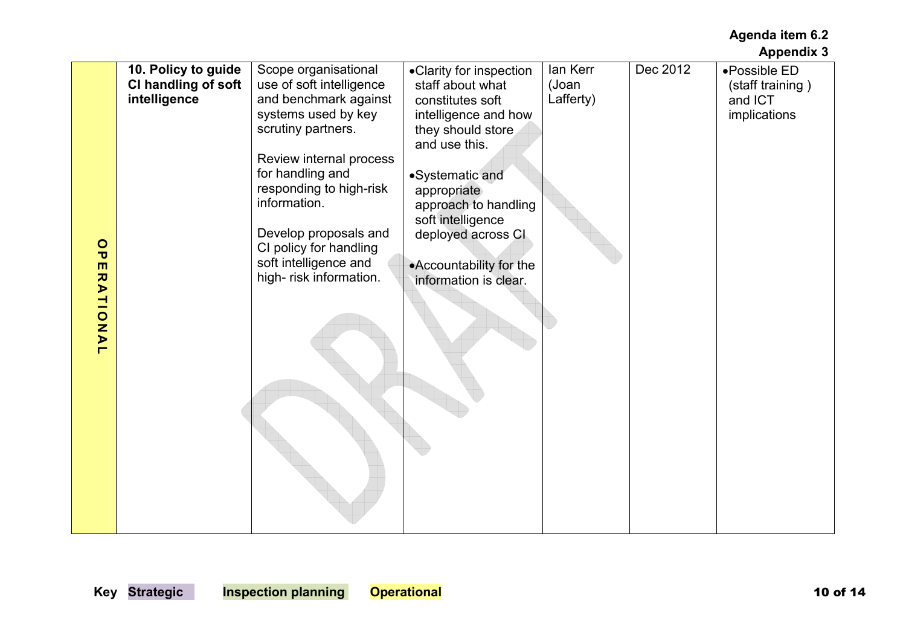|                    | 10. Policy to guide | Scope organisational     |                         | lan Kerr  | Dec 2012 | •Possible ED     |
|--------------------|---------------------|--------------------------|-------------------------|-----------|----------|------------------|
|                    |                     |                          | •Clarity for inspection |           |          |                  |
|                    | CI handling of soft | use of soft intelligence | staff about what        | (Joan     |          | (staff training) |
|                    | intelligence        | and benchmark against    | constitutes soft        | Lafferty) |          | and ICT          |
|                    |                     | systems used by key      | intelligence and how    |           |          | implications     |
|                    |                     | scrutiny partners.       | they should store       |           |          |                  |
|                    |                     |                          | and use this.           |           |          |                  |
|                    |                     | Review internal process  |                         |           |          |                  |
|                    |                     | for handling and         | •Systematic and         |           |          |                  |
|                    |                     | responding to high-risk  | appropriate             |           |          |                  |
|                    |                     | information.             |                         |           |          |                  |
|                    |                     |                          | approach to handling    |           |          |                  |
|                    |                     |                          | soft intelligence       |           |          |                  |
|                    |                     | Develop proposals and    | deployed across CI      |           |          |                  |
| $\frac{0}{\sigma}$ |                     | CI policy for handling   |                         |           |          |                  |
| $\blacksquare$     |                     | soft intelligence and    | •Accountability for the |           |          |                  |
|                    |                     | high-risk information.   | information is clear.   |           |          |                  |
|                    |                     |                          |                         |           |          |                  |
|                    |                     |                          |                         |           |          |                  |
|                    |                     |                          |                         |           |          |                  |
| RATIONAL           |                     |                          |                         |           |          |                  |
|                    |                     |                          |                         |           |          |                  |
|                    |                     |                          |                         |           |          |                  |
|                    |                     |                          |                         |           |          |                  |
|                    |                     |                          |                         |           |          |                  |
|                    |                     |                          |                         |           |          |                  |
|                    |                     |                          |                         |           |          |                  |
|                    |                     |                          |                         |           |          |                  |
|                    |                     |                          |                         |           |          |                  |
|                    |                     |                          |                         |           |          |                  |
|                    |                     |                          |                         |           |          |                  |
|                    |                     |                          |                         |           |          |                  |
|                    |                     |                          |                         |           |          |                  |
|                    |                     |                          |                         |           |          |                  |
|                    |                     |                          |                         |           |          |                  |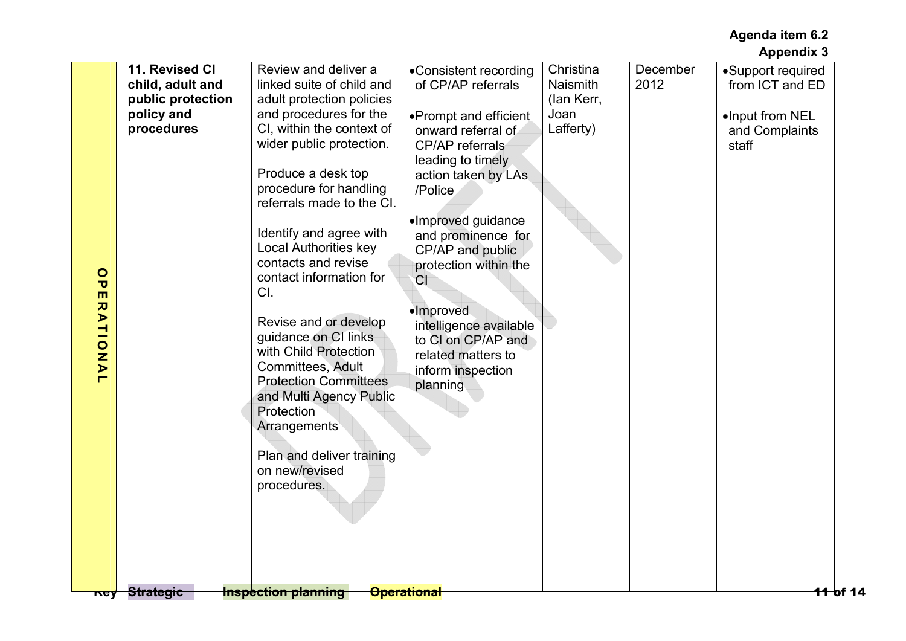|                                                                                                                                                               | <b>Appendix 3</b>                                                                                                                                                         |
|---------------------------------------------------------------------------------------------------------------------------------------------------------------|---------------------------------------------------------------------------------------------------------------------------------------------------------------------------|
| 11. Revised CI<br>child, adult and<br>public protection<br>policy and<br>procedures<br>$\circ$<br>$\overline{\mathbf{U}}$<br>$\blacksquare$<br><b>RATIONA</b> | Christina<br>•Support required<br>December<br><b>Naismith</b><br>2012<br>from ICT and ED<br>(lan Kerr,<br>Joan<br>•Input from NEL<br>Lafferty)<br>and Complaints<br>staff |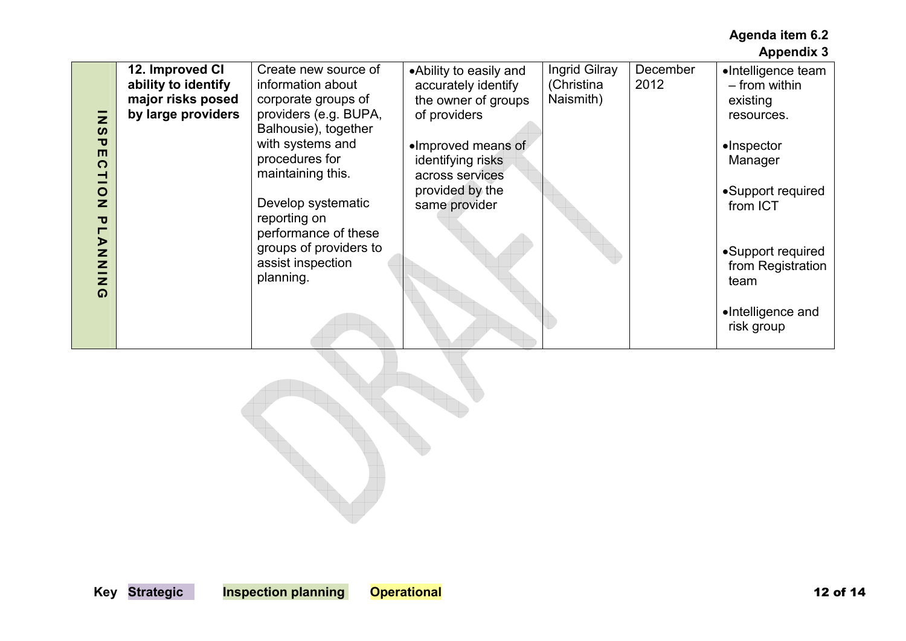|                            | 12. Improved CI     | Create new source of   | • Ability to easily and | Ingrid Gilray | December | •Intelligence team  |
|----------------------------|---------------------|------------------------|-------------------------|---------------|----------|---------------------|
|                            | ability to identify | information about      | accurately identify     | (Christina    | 2012     | - from within       |
|                            | major risks posed   | corporate groups of    | the owner of groups     | Naismith)     |          | existing            |
|                            | by large providers  | providers (e.g. BUPA,  | of providers            |               |          | resources.          |
| Z<br>$\boldsymbol{\omega}$ |                     | Balhousie), together   |                         |               |          |                     |
| $\mathbf{\overline{v}}$    |                     | with systems and       | •Improved means of      |               |          | $\bullet$ Inspector |
| ш<br>$\Omega$              |                     | procedures for         | identifying risks       |               |          | Manager             |
| ᅴ                          |                     | maintaining this.      | across services         |               |          |                     |
| $\circ$                    |                     |                        | provided by the         |               |          | •Support required   |
| Z                          |                     | Develop systematic     | same provider           |               |          | from ICT            |
| $\mathbf{\overline{v}}$    |                     | reporting on           |                         |               |          |                     |
|                            |                     | performance of these   |                         |               |          |                     |
| <b>LANA</b>                |                     | groups of providers to |                         |               |          |                     |
|                            |                     | assist inspection      |                         |               |          | •Support required   |
|                            |                     | planning.              |                         |               |          | from Registration   |
| $\bar{z}$<br>$\Omega$      |                     |                        |                         |               |          | team                |
|                            |                     |                        |                         |               |          |                     |
|                            |                     |                        |                         |               |          | •Intelligence and   |
|                            |                     |                        |                         |               |          | risk group          |
|                            |                     |                        |                         |               |          |                     |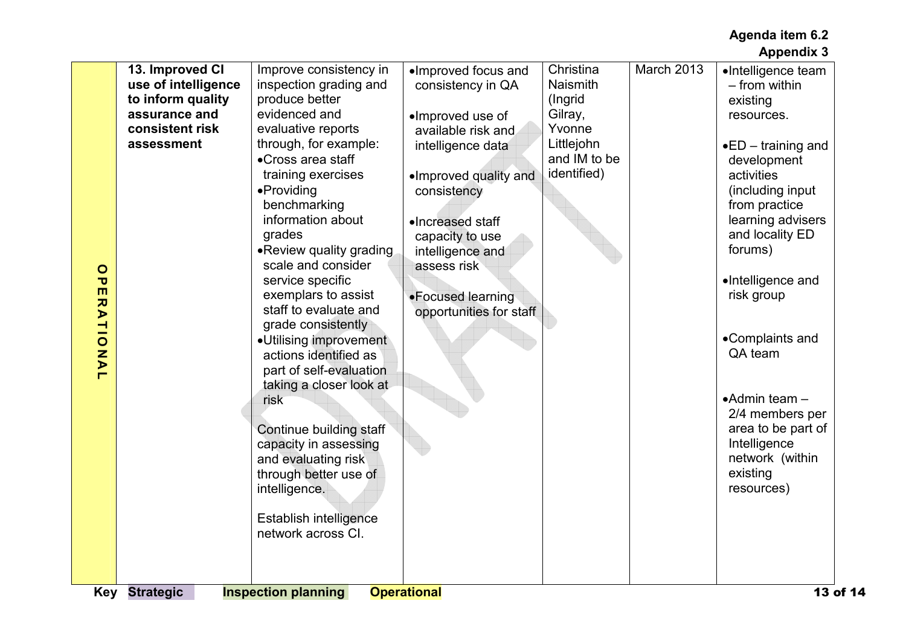| $\circ$<br>$\overline{\mathbf{U}}$<br>$\blacksquare$<br><b>RATIONA</b><br>H | 13. Improved CI<br>use of intelligence<br>to inform quality<br>assurance and<br>consistent risk<br>assessment<br><b>Key Strategic</b> | Improve consistency in<br>inspection grading and<br>produce better<br>evidenced and<br>evaluative reports<br>through, for example:<br>•Cross area staff<br>training exercises<br>•Providing<br>benchmarking<br>information about<br>grades<br>• Review quality grading<br>scale and consider<br>service specific<br>exemplars to assist<br>staff to evaluate and<br>grade consistently<br>•Utilising improvement<br>actions identified as<br>part of self-evaluation<br>taking a closer look at<br>risk<br>Continue building staff<br>capacity in assessing<br>and evaluating risk<br>through better use of<br>intelligence.<br><b>Establish intelligence</b><br>network across CI.<br><b>Inspection planning</b> | ·Improved focus and<br>consistency in QA<br>·Improved use of<br>available risk and<br>intelligence data<br>·Improved quality and<br>consistency<br>•Increased staff<br>capacity to use<br>intelligence and<br>assess risk<br>•Focused learning<br>opportunities for staff<br><b>Operational</b> | Christina<br><b>Naismith</b><br>(Ingrid<br>Gilray,<br>Yvonne<br>Littlejohn<br>and IM to be<br>identified) | March 2013 | •Intelligence team<br>- from within<br>existing<br>resources.<br>$\bullet$ ED – training and<br>development<br>activities<br>(including input<br>from practice<br>learning advisers<br>and locality ED<br>forums)<br>•Intelligence and<br>risk group<br>•Complaints and<br>QA team<br>$\bullet$ Admin team $-$<br>2/4 members per<br>area to be part of<br>Intelligence<br>network (within<br>existing<br>resources)<br>13 of 14 |
|-----------------------------------------------------------------------------|---------------------------------------------------------------------------------------------------------------------------------------|-------------------------------------------------------------------------------------------------------------------------------------------------------------------------------------------------------------------------------------------------------------------------------------------------------------------------------------------------------------------------------------------------------------------------------------------------------------------------------------------------------------------------------------------------------------------------------------------------------------------------------------------------------------------------------------------------------------------|-------------------------------------------------------------------------------------------------------------------------------------------------------------------------------------------------------------------------------------------------------------------------------------------------|-----------------------------------------------------------------------------------------------------------|------------|----------------------------------------------------------------------------------------------------------------------------------------------------------------------------------------------------------------------------------------------------------------------------------------------------------------------------------------------------------------------------------------------------------------------------------|
|-----------------------------------------------------------------------------|---------------------------------------------------------------------------------------------------------------------------------------|-------------------------------------------------------------------------------------------------------------------------------------------------------------------------------------------------------------------------------------------------------------------------------------------------------------------------------------------------------------------------------------------------------------------------------------------------------------------------------------------------------------------------------------------------------------------------------------------------------------------------------------------------------------------------------------------------------------------|-------------------------------------------------------------------------------------------------------------------------------------------------------------------------------------------------------------------------------------------------------------------------------------------------|-----------------------------------------------------------------------------------------------------------|------------|----------------------------------------------------------------------------------------------------------------------------------------------------------------------------------------------------------------------------------------------------------------------------------------------------------------------------------------------------------------------------------------------------------------------------------|